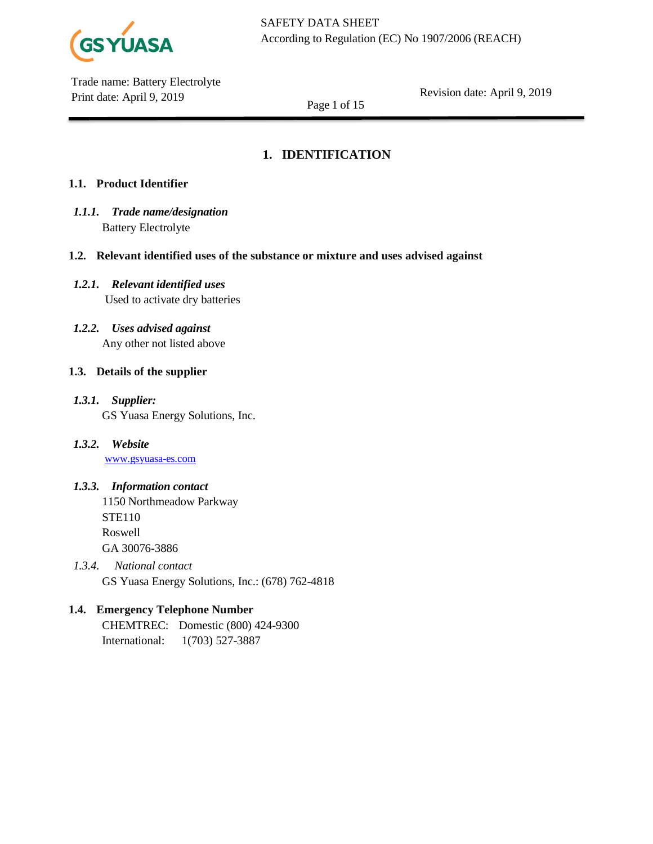

Revision date: April 9, 2019

Page 1 of 15

# **1. IDENTIFICATION**

# **1.1. Product Identifier**

- *1.1.1. Trade name/designation* Battery Electrolyte
- **1.2. Relevant identified uses of the substance or mixture and uses advised against**
- *1.2.1. Relevant identified uses* Used to activate dry batteries
- *1.2.2. Uses advised against* Any other not listed above

# **1.3. Details of the supplier**

- *1.3.1. Supplier:* GS Yuasa Energy Solutions, Inc.
- *1.3.2. Website* [www.gsyuasa-es.com](http://www.gsyuasa-es.com/)

# *1.3.3. Information contact*

- 1150 Northmeadow Parkway STE110 Roswell GA 30076-3886
- *1.3.4. National contact* GS Yuasa Energy Solutions, Inc.: (678) 762-4818

# **1.4. Emergency Telephone Number**

CHEMTREC: Domestic (800) 424-9300 International: 1(703) 527-3887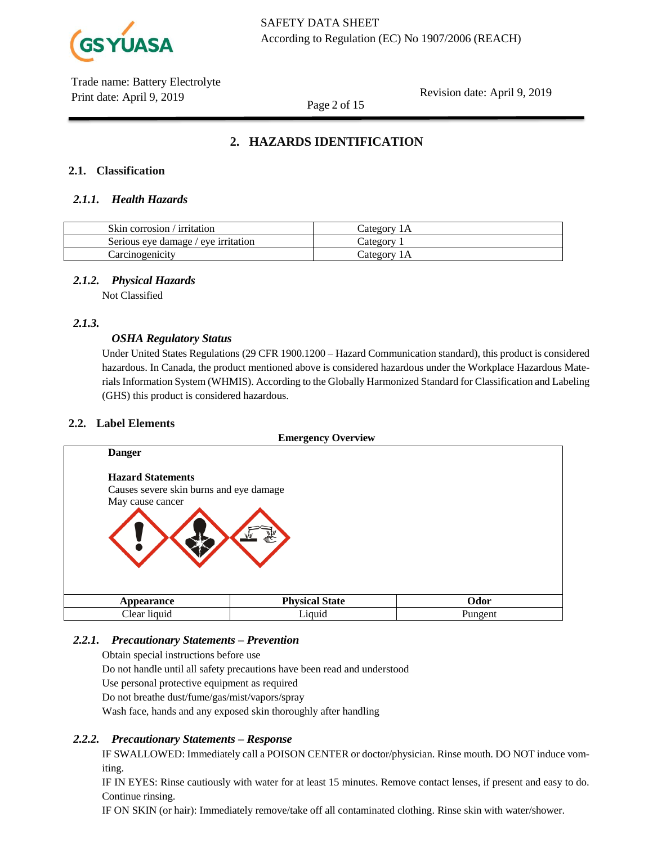

Revision date: April 9, 2019

Page 2 of 15

# **2. HAZARDS IDENTIFICATION**

## **2.1. Classification**

## *2.1.1. Health Hazards*

| Skin corrosion / irritation         | Category 1A |
|-------------------------------------|-------------|
| Serious eye damage / eye irritation | Category    |
| Carcinogenicity                     | Category 1A |

## *2.1.2. Physical Hazards*

Not Classified

## *2.1.3.*

## *OSHA Regulatory Status*

Under United States Regulations (29 CFR 1900.1200 – Hazard Communication standard), this product is considered hazardous. In Canada, the product mentioned above is considered hazardous under the Workplace Hazardous Materials Information System (WHMIS). According to the Globally Harmonized Standard for Classification and Labeling (GHS) this product is considered hazardous.

#### **2.2. Label Elements**



## *2.2.1. Precautionary Statements – Prevention*

Obtain special instructions before use

Do not handle until all safety precautions have been read and understood

Use personal protective equipment as required

Do not breathe dust/fume/gas/mist/vapors/spray

Wash face, hands and any exposed skin thoroughly after handling

## *2.2.2. Precautionary Statements – Response*

IF SWALLOWED: Immediately call a POISON CENTER or doctor/physician. Rinse mouth. DO NOT induce vomiting.

IF IN EYES: Rinse cautiously with water for at least 15 minutes. Remove contact lenses, if present and easy to do. Continue rinsing.

IF ON SKIN (or hair): Immediately remove/take off all contaminated clothing. Rinse skin with water/shower.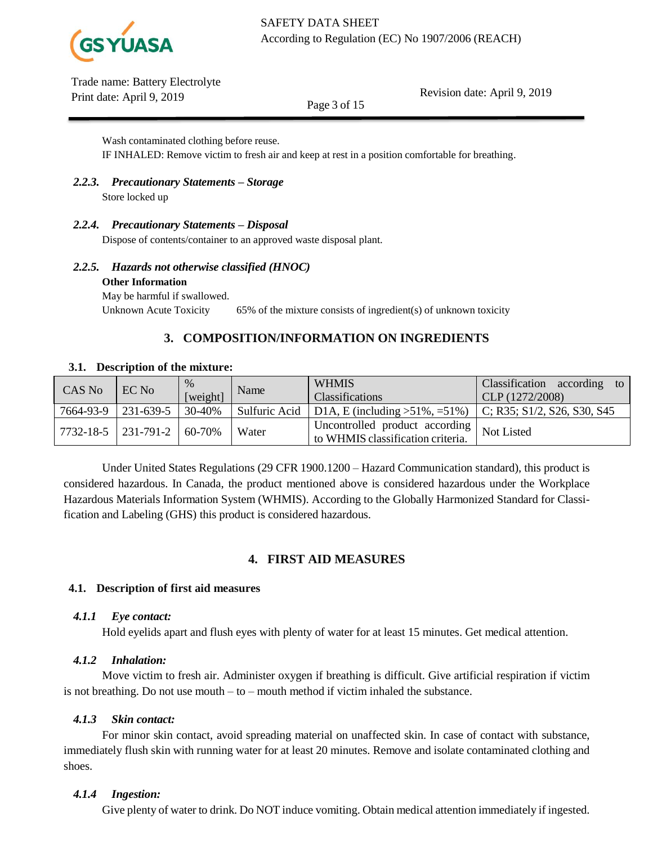

Revision date: April 9, 2019

Page 3 of 15

Wash contaminated clothing before reuse. IF INHALED: Remove victim to fresh air and keep at rest in a position comfortable for breathing.

## *2.2.3. Precautionary Statements – Storage* Store locked up

# *2.2.4. Precautionary Statements – Disposal*

Dispose of contents/container to an approved waste disposal plant.

## *2.2.5. Hazards not otherwise classified (HNOC)* **Other Information**

May be harmful if swallowed. Unknown Acute Toxicity 65% of the mixture consists of ingredient(s) of unknown toxicity

# **3. COMPOSITION/INFORMATION ON INGREDIENTS**

| CAS No    | EC No         | %        | Name          | <b>WHMIS</b>                                                            | Classification according<br>to 1    |
|-----------|---------------|----------|---------------|-------------------------------------------------------------------------|-------------------------------------|
|           |               | [weight] |               | <b>Classifications</b>                                                  | CLP(1272/2008)                      |
| 7664-93-9 | 231-639-5     | 30-40%   | Sulfuric Acid | D1A, E (including $>51\%$ , =51%)                                       | $\vert$ C; R35; S1/2, S26, S30, S45 |
| 7732-18-5 | $ 231-791-2 $ | 60-70%   | Water         | I Uncontrolled product according I<br>to WHMIS classification criteria. | Not Listed                          |

Under United States Regulations (29 CFR 1900.1200 – Hazard Communication standard), this product is considered hazardous. In Canada, the product mentioned above is considered hazardous under the Workplace Hazardous Materials Information System (WHMIS). According to the Globally Harmonized Standard for Classification and Labeling (GHS) this product is considered hazardous.

# **4. FIRST AID MEASURES**

## **4.1. Description of first aid measures**

## *4.1.1 Eye contact:*

Hold eyelids apart and flush eyes with plenty of water for at least 15 minutes. Get medical attention.

# *4.1.2 Inhalation:*

Move victim to fresh air. Administer oxygen if breathing is difficult. Give artificial respiration if victim is not breathing. Do not use mouth – to – mouth method if victim inhaled the substance.

# *4.1.3 Skin contact:*

For minor skin contact, avoid spreading material on unaffected skin. In case of contact with substance, immediately flush skin with running water for at least 20 minutes. Remove and isolate contaminated clothing and shoes.

# *4.1.4 Ingestion:*

Give plenty of water to drink. Do NOT induce vomiting. Obtain medical attention immediately if ingested.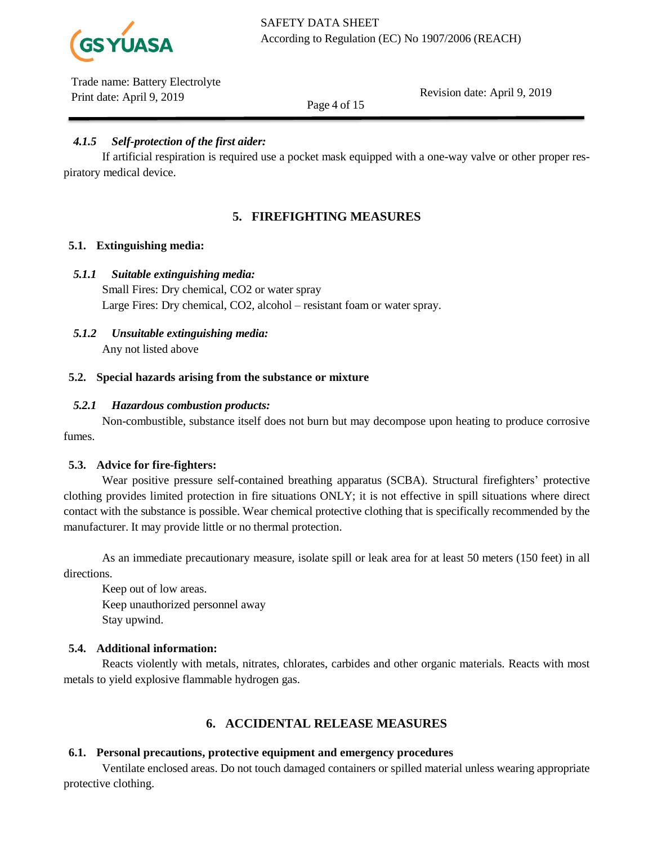

Revision date: April 9, 2019

Page 4 of 15

# *4.1.5 Self-protection of the first aider:*

If artificial respiration is required use a pocket mask equipped with a one-way valve or other proper respiratory medical device.

# **5. FIREFIGHTING MEASURES**

## **5.1. Extinguishing media:**

## *5.1.1 Suitable extinguishing media:*

Small Fires: Dry chemical, CO2 or water spray Large Fires: Dry chemical, CO2, alcohol – resistant foam or water spray.

*5.1.2 Unsuitable extinguishing media:*  Any not listed above

## **5.2. Special hazards arising from the substance or mixture**

## *5.2.1 Hazardous combustion products:*

Non-combustible, substance itself does not burn but may decompose upon heating to produce corrosive fumes.

## **5.3. Advice for fire-fighters:**

Wear positive pressure self-contained breathing apparatus (SCBA). Structural firefighters' protective clothing provides limited protection in fire situations ONLY; it is not effective in spill situations where direct contact with the substance is possible. Wear chemical protective clothing that is specifically recommended by the manufacturer. It may provide little or no thermal protection.

As an immediate precautionary measure, isolate spill or leak area for at least 50 meters (150 feet) in all directions.

Keep out of low areas. Keep unauthorized personnel away Stay upwind.

## **5.4. Additional information:**

Reacts violently with metals, nitrates, chlorates, carbides and other organic materials. Reacts with most metals to yield explosive flammable hydrogen gas.

# **6. ACCIDENTAL RELEASE MEASURES**

## **6.1. Personal precautions, protective equipment and emergency procedures**

Ventilate enclosed areas. Do not touch damaged containers or spilled material unless wearing appropriate protective clothing.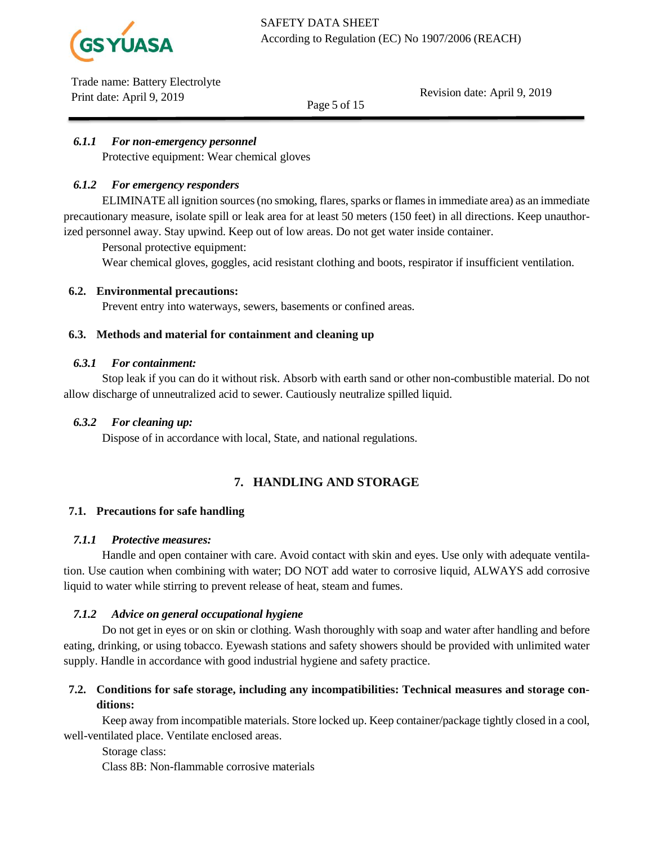

Revision date: April 9, 2019

## *6.1.1 For non-emergency personnel*

Protective equipment: Wear chemical gloves

## *6.1.2 For emergency responders*

ELIMINATE all ignition sources (no smoking, flares, sparks or flames in immediate area) as an immediate precautionary measure, isolate spill or leak area for at least 50 meters (150 feet) in all directions. Keep unauthorized personnel away. Stay upwind. Keep out of low areas. Do not get water inside container.

Page 5 of 15

Personal protective equipment:

Wear chemical gloves, goggles, acid resistant clothing and boots, respirator if insufficient ventilation.

#### **6.2. Environmental precautions:**

Prevent entry into waterways, sewers, basements or confined areas.

#### **6.3. Methods and material for containment and cleaning up**

#### *6.3.1 For containment:*

Stop leak if you can do it without risk. Absorb with earth sand or other non-combustible material. Do not allow discharge of unneutralized acid to sewer. Cautiously neutralize spilled liquid.

#### *6.3.2 For cleaning up:*

Dispose of in accordance with local, State, and national regulations.

# **7. HANDLING AND STORAGE**

#### **7.1. Precautions for safe handling**

#### *7.1.1 Protective measures:*

Handle and open container with care. Avoid contact with skin and eyes. Use only with adequate ventilation. Use caution when combining with water; DO NOT add water to corrosive liquid, ALWAYS add corrosive liquid to water while stirring to prevent release of heat, steam and fumes.

## *7.1.2 Advice on general occupational hygiene*

Do not get in eyes or on skin or clothing. Wash thoroughly with soap and water after handling and before eating, drinking, or using tobacco. Eyewash stations and safety showers should be provided with unlimited water supply. Handle in accordance with good industrial hygiene and safety practice.

# **7.2. Conditions for safe storage, including any incompatibilities: Technical measures and storage conditions:**

Keep away from incompatible materials. Store locked up. Keep container/package tightly closed in a cool, well-ventilated place. Ventilate enclosed areas.

Storage class:

Class 8B: Non-flammable corrosive materials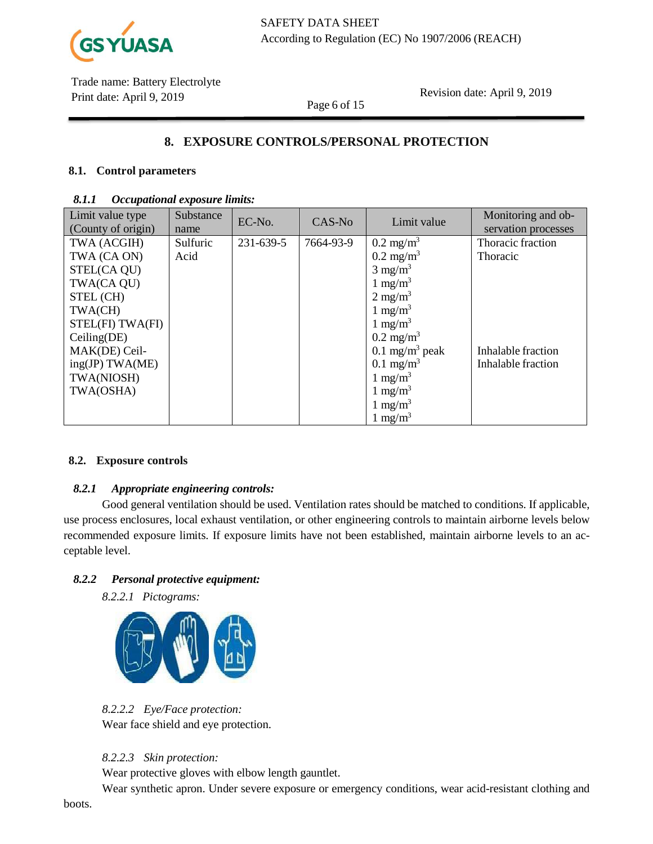

Revision date: April 9, 2019

# **8. EXPOSURE CONTROLS/PERSONAL PROTECTION**

Page 6 of 15

## **8.1. Control parameters**

#### *8.1.1 Occupational exposure limits:*

| Limit value type   | Substance | EC-No.    | CAS-No    | Limit value                | Monitoring and ob-  |
|--------------------|-----------|-----------|-----------|----------------------------|---------------------|
| (County of origin) | name      |           |           |                            | servation processes |
| TWA (ACGIH)        | Sulfuric  | 231-639-5 | 7664-93-9 | $0.2 \text{ mg/m}^3$       | Thoracic fraction   |
| TWA (CA ON)        | Acid      |           |           | $0.2 \text{ mg/m}^3$       | <b>Thoracic</b>     |
| STEL(CA QU)        |           |           |           | $3 \text{ mg/m}^3$         |                     |
| TWA(CA QU)         |           |           |           | 1 mg/m <sup>3</sup>        |                     |
| STEL (CH)          |           |           |           | $2 \text{ mg/m}^3$         |                     |
| TWA(CH)            |           |           |           | 1 mg/m <sup>3</sup>        |                     |
| STEL(FI) TWA(FI)   |           |           |           | 1 mg/m <sup>3</sup>        |                     |
| Ceiling(DE)        |           |           |           | $0.2 \text{ mg/m}^3$       |                     |
| MAK(DE) Ceil-      |           |           |           | 0.1 mg/m <sup>3</sup> peak | Inhalable fraction  |
| ing(JP) TWA(ME)    |           |           |           | $0.1 \text{ mg/m}^3$       | Inhalable fraction  |
| TWA(NIOSH)         |           |           |           | 1 mg/m <sup>3</sup>        |                     |
| TWA(OSHA)          |           |           |           | 1 mg/m <sup>3</sup>        |                     |
|                    |           |           |           | $1 \text{ mg/m}^3$         |                     |
|                    |           |           |           | 1 mg/m <sup>3</sup>        |                     |

#### **8.2. Exposure controls**

## *8.2.1 Appropriate engineering controls:*

Good general ventilation should be used. Ventilation rates should be matched to conditions. If applicable, use process enclosures, local exhaust ventilation, or other engineering controls to maintain airborne levels below recommended exposure limits. If exposure limits have not been established, maintain airborne levels to an acceptable level.

#### *8.2.2 Personal protective equipment:*

*8.2.2.1 Pictograms:*



*8.2.2.2 Eye/Face protection:* Wear face shield and eye protection.

*8.2.2.3 Skin protection:*

Wear protective gloves with elbow length gauntlet.

Wear synthetic apron. Under severe exposure or emergency conditions, wear acid-resistant clothing and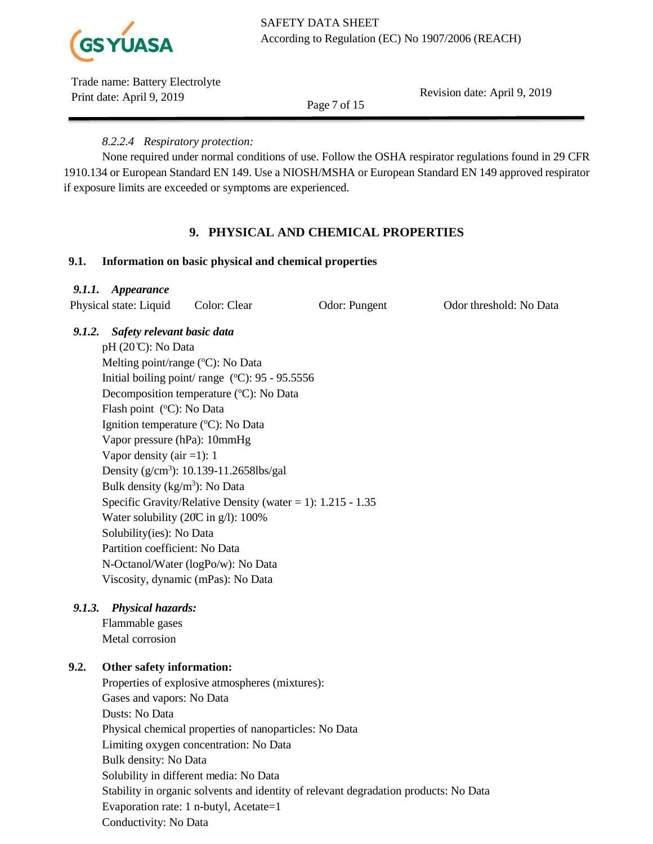

Revision date: April 9, 2019

Page 7 of 15

# *8.2.2.4 Respiratory protection:*

None required under normal conditions of use. Follow the OSHA respirator regulations found in 29 CFR 1910.134 or European Standard EN 149. Use a NIOSH/MSHA or European Standard EN 149 approved respirator if exposure limits are exceeded or symptoms are experienced.

# **9. PHYSICAL AND CHEMICAL PROPERTIES**

# **9.1. Information on basic physical and chemical properties**

# *9.1.1. Appearance*

Physical state: Liquid Color: Clear Odor: Pungent Odor threshold: No Data

# *9.1.2. Safety relevant basic data*

 $pH (20^{\circ}C)$ : No Data Melting point/range (°C): No Data Initial boiling point/ range  $(^{\circ}C)$ : 95 - 95.5556 Decomposition temperature (°C): No Data Flash point (°C): No Data Ignition temperature (°C): No Data Vapor pressure (hPa): 10mmHg Vapor density  $(air = 1): 1$ Density (g/cm<sup>3</sup>): 10.139-11.2658lbs/gal Bulk density  $(kg/m^3)$ : No Data Specific Gravity/Relative Density (water  $= 1$ ): 1.215 - 1.35 Water solubility (20̊C in g/l): 100% Solubility(ies): No Data Partition coefficient: No Data N-Octanol/Water (logPo/w): No Data Viscosity, dynamic (mPas): No Data

# *9.1.3. Physical hazards:*

Flammable gases Metal corrosion

# **9.2. Other safety information:**

Properties of explosive atmospheres (mixtures): Gases and vapors: No Data Dusts: No Data Physical chemical properties of nanoparticles: No Data Limiting oxygen concentration: No Data Bulk density: No Data Solubility in different media: No Data Stability in organic solvents and identity of relevant degradation products: No Data Evaporation rate: 1 n-butyl, Acetate=1 Conductivity: No Data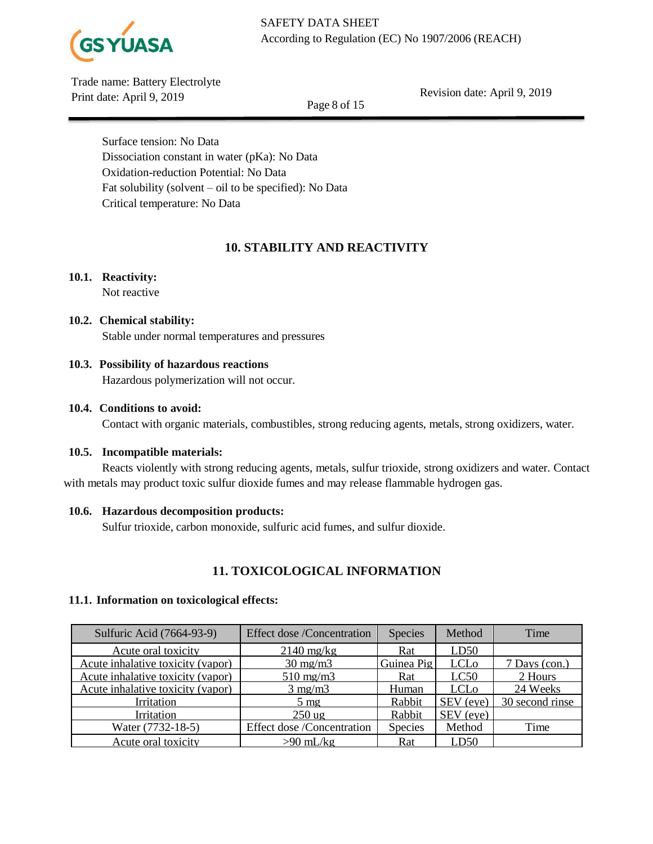

Revision date: April 9, 2019

Page 8 of 15

Surface tension: No Data Dissociation constant in water (pKa): No Data Oxidation-reduction Potential: No Data Fat solubility (solvent – oil to be specified): No Data Critical temperature: No Data

# **10. STABILITY AND REACTIVITY**

# **10.1. Reactivity:**

Not reactive

# **10.2. Chemical stability:**

Stable under normal temperatures and pressures

# **10.3. Possibility of hazardous reactions**

Hazardous polymerization will not occur.

# **10.4. Conditions to avoid:**

Contact with organic materials, combustibles, strong reducing agents, metals, strong oxidizers, water.

# **10.5. Incompatible materials:**

Reacts violently with strong reducing agents, metals, sulfur trioxide, strong oxidizers and water. Contact with metals may product toxic sulfur dioxide fumes and may release flammable hydrogen gas.

# **10.6. Hazardous decomposition products:**

Sulfur trioxide, carbon monoxide, sulfuric acid fumes, and sulfur dioxide.

# **11. TOXICOLOGICAL INFORMATION**

## **11.1. Information on toxicological effects:**

| Sulfuric Acid (7664-93-9)         | <b>Effect dose/Concentration</b>  | Species        | Method                 | Time            |
|-----------------------------------|-----------------------------------|----------------|------------------------|-----------------|
| Acute oral toxicity               | $2140$ mg/kg                      | Rat            | LD50                   |                 |
| Acute inhalative toxicity (vapor) | $30 \text{ mg/m}$                 | Guinea Pig     | <b>LCL<sub>o</sub></b> | 7 Days (con.)   |
| Acute inhalative toxicity (vapor) | $510 \text{ mg/m}$                | Rat            | LC50                   | 2 Hours         |
| Acute inhalative toxicity (vapor) | $3$ mg/m $3$                      | Human          | LCL <sub>o</sub>       | 24 Weeks        |
| Irritation                        | $5 \text{ mg}$                    | Rabbit         | SEV (eye)              | 30 second rinse |
| Irritation                        | $250$ ug                          | Rabbit         | SEV (eye)              |                 |
| Water (7732-18-5)                 | <b>Effect dose /Concentration</b> | <b>Species</b> | Method                 | Time            |
| Acute oral toxicity               | $>90$ mL/kg                       | Rat            | LD50                   |                 |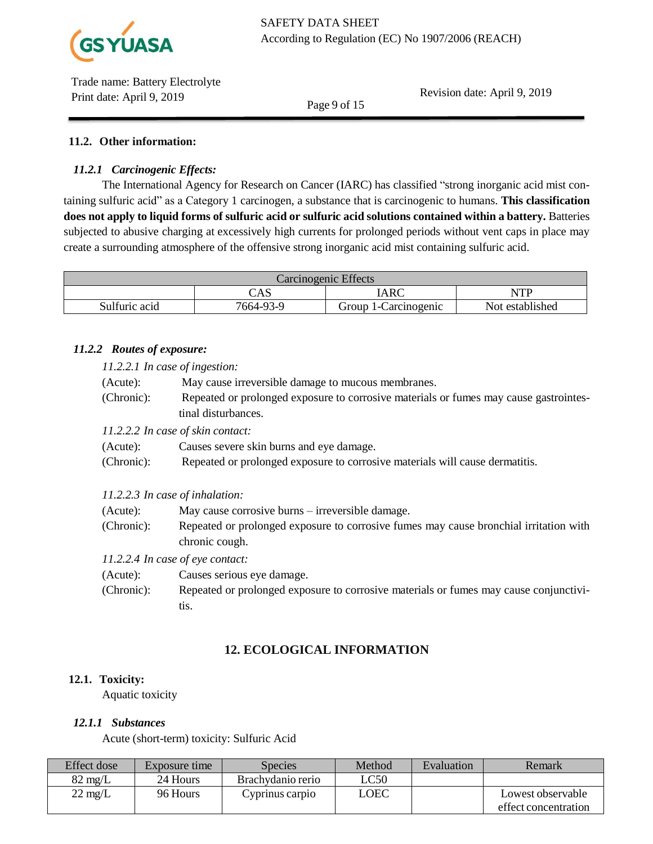

Revision date: April 9, 2019

Page 9 of 15

## **11.2. Other information:**

## *11.2.1 Carcinogenic Effects:*

The International Agency for Research on Cancer (IARC) has classified "strong inorganic acid mist containing sulfuric acid" as a Category 1 carcinogen, a substance that is carcinogenic to humans. **This classification does not apply to liquid forms of sulfuric acid or sulfuric acid solutions contained within a battery.** Batteries subjected to abusive charging at excessively high currents for prolonged periods without vent caps in place may create a surrounding atmosphere of the offensive strong inorganic acid mist containing sulfuric acid.

| Carcinogenic Effects |           |                      |                 |  |
|----------------------|-----------|----------------------|-----------------|--|
|                      | CAS       | IARC                 | NTP             |  |
| Sulfuric acid        | 7664-93-9 | Group 1-Carcinogenic | Not established |  |

## *11.2.2 Routes of exposure:*

*11.2.2.1 In case of ingestion:*

(Acute): May cause irreversible damage to mucous membranes.

(Chronic): Repeated or prolonged exposure to corrosive materials or fumes may cause gastrointestinal disturbances.

*11.2.2.2 In case of skin contact:*

- (Acute): Causes severe skin burns and eye damage.
- (Chronic): Repeated or prolonged exposure to corrosive materials will cause dermatitis.
- *11.2.2.3 In case of inhalation:*
- (Acute): May cause corrosive burns irreversible damage. (Chronic): Repeated or prolonged exposure to corrosive fumes may cause bronchial irritation with chronic cough.

*11.2.2.4 In case of eye contact:*

- (Acute): Causes serious eye damage.
- (Chronic): Repeated or prolonged exposure to corrosive materials or fumes may cause conjunctivitis.

# **12. ECOLOGICAL INFORMATION**

#### **12.1. Toxicity:**

Aquatic toxicity

#### *12.1.1 Substances*

Acute (short-term) toxicity: Sulfuric Acid

| Effect dose       | Exposure time | Species           | Method | Evaluation | Remark               |
|-------------------|---------------|-------------------|--------|------------|----------------------|
| $82 \text{ mg/L}$ | 24 Hours      | Brachydanio rerio | LC50   |            |                      |
| $22 \text{ mg/L}$ | 96 Hours      | Cyprinus carpio   | LOEC   |            | Lowest observable    |
|                   |               |                   |        |            | effect concentration |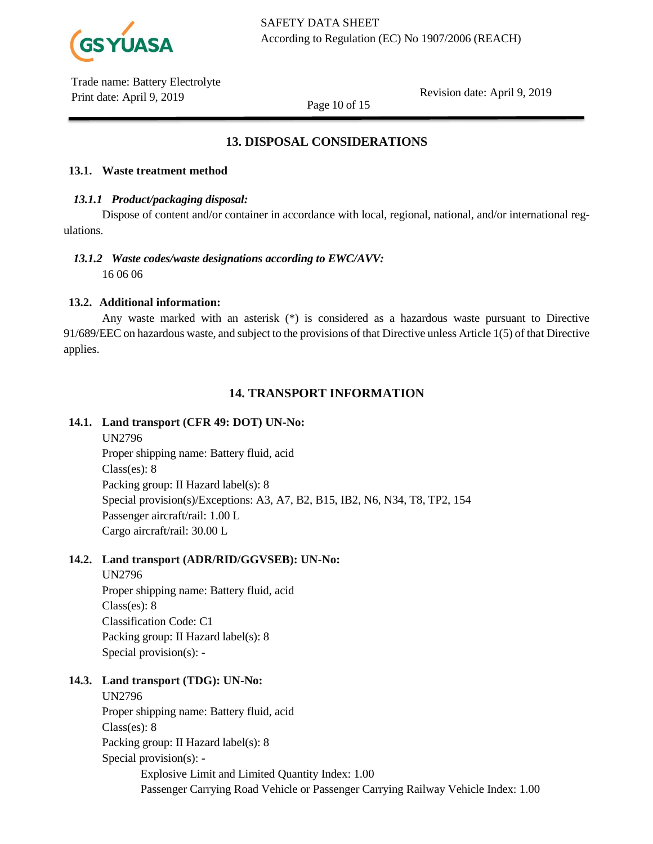

Revision date: April 9, 2019

Page 10 of 15

# **13. DISPOSAL CONSIDERATIONS**

## **13.1. Waste treatment method**

## *13.1.1 Product/packaging disposal:*

Dispose of content and/or container in accordance with local, regional, national, and/or international regulations.

# *13.1.2 Waste codes/waste designations according to EWC/AVV:*

16 06 06

# **13.2. Additional information:**

Any waste marked with an asterisk (\*) is considered as a hazardous waste pursuant to Directive 91/689/EEC on hazardous waste, and subject to the provisions of that Directive unless Article 1(5) of that Directive applies.

# **14. TRANSPORT INFORMATION**

## **14.1. Land transport (CFR 49: DOT) UN-No:**

UN2796 Proper shipping name: Battery fluid, acid Class(es): 8 Packing group: II Hazard label(s): 8 Special provision(s)/Exceptions: A3, A7, B2, B15, IB2, N6, N34, T8, TP2, 154 Passenger aircraft/rail: 1.00 L Cargo aircraft/rail: 30.00 L

## **14.2. Land transport (ADR/RID/GGVSEB): UN-No:**

UN2796 Proper shipping name: Battery fluid, acid Class(es): 8 Classification Code: C1 Packing group: II Hazard label(s): 8 Special provision(s): -

# **14.3. Land transport (TDG): UN-No:**

# UN2796

Proper shipping name: Battery fluid, acid Class(es): 8 Packing group: II Hazard label(s): 8 Special provision(s): - Explosive Limit and Limited Quantity Index: 1.00 Passenger Carrying Road Vehicle or Passenger Carrying Railway Vehicle Index: 1.00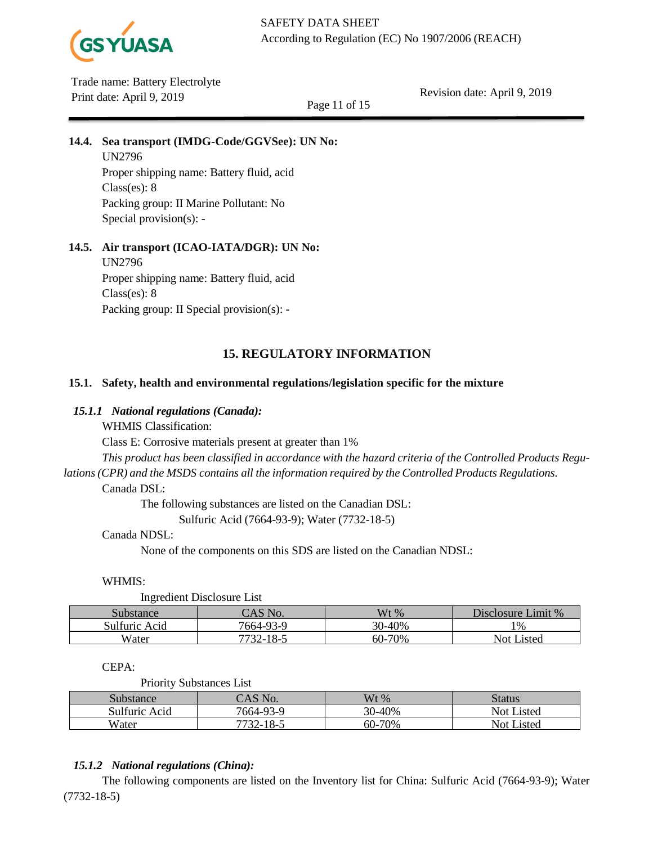

Revision date: April 9, 2019

Page 11 of 15

# **14.4. Sea transport (IMDG-Code/GGVSee): UN No:**

UN2796 Proper shipping name: Battery fluid, acid Class(es): 8 Packing group: II Marine Pollutant: No Special provision(s): -

# **14.5. Air transport (ICAO-IATA/DGR): UN No:**

UN2796 Proper shipping name: Battery fluid, acid Class(es): 8 Packing group: II Special provision(s): -

# **15. REGULATORY INFORMATION**

## **15.1. Safety, health and environmental regulations/legislation specific for the mixture**

## *15.1.1 National regulations (Canada):*

WHMIS Classification:

Class E: Corrosive materials present at greater than 1%

*This product has been classified in accordance with the hazard criteria of the Controlled Products Regu-*

*lations(CPR) and the MSDS contains all the information required by the Controlled Products Regulations.*

Canada DSL:

The following substances are listed on the Canadian DSL:

Sulfuric Acid (7664-93-9); Water (7732-18-5)

#### Canada NDSL:

None of the components on this SDS are listed on the Canadian NDSL:

#### WHMIS:

Ingredient Disclosure List

| -                |                    |                       |                    |
|------------------|--------------------|-----------------------|--------------------|
| Substance        | $\bigcap$ AS No.   | $Wt\%$                | Disclosure Limit % |
| Sulfuric<br>Acid | 7664-93-9          | 0-40%<br>$20^{\circ}$ | 1%                 |
| Water            | 7720<br>$2 - 18 -$ | 60-70%                | isted<br>⊣Not "    |

## CEPA:

Priority Substances List

| Substance        | "AS No.   | $Wt\%$             | Status            |
|------------------|-----------|--------------------|-------------------|
| Sulfuric<br>Acid | 7664-93-9 | 30-40%<br>$\gamma$ | <b>Not Listed</b> |
| Water            | 7732-18-5 | 60-70%             | <b>Not Listed</b> |

## *15.1.2 National regulations (China):*

The following components are listed on the Inventory list for China: Sulfuric Acid (7664-93-9); Water (7732-18-5)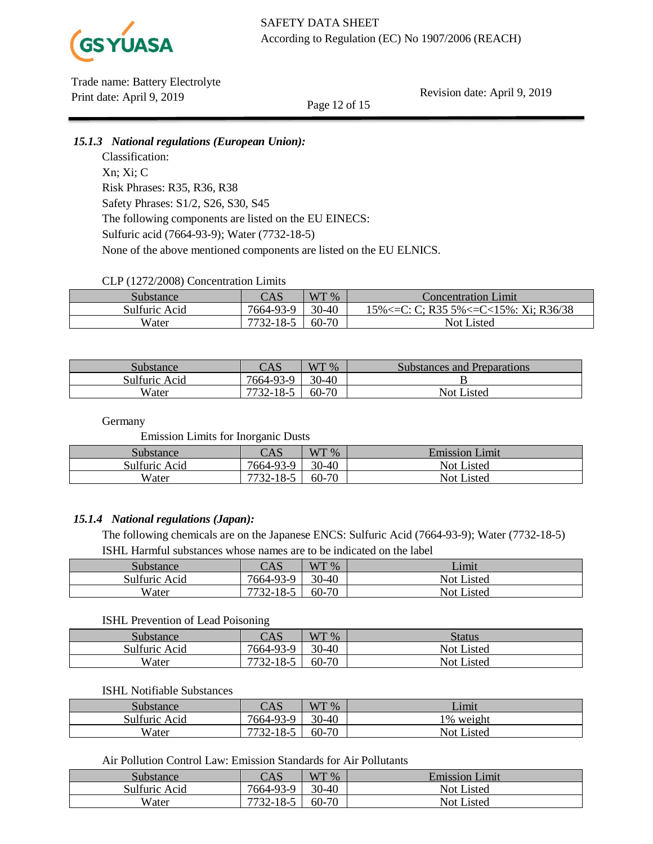

Revision date: April 9, 2019

Page 12 of 15

## *15.1.3 National regulations (European Union):*

Classification: Xn; Xi; C Risk Phrases: R35, R36, R38 Safety Phrases: S1/2, S26, S30, S45 The following components are listed on the EU EINECS: Sulfuric acid (7664-93-9); Water (7732-18-5) None of the above mentioned components are listed on the EU ELNICS.

## CLP (1272/2008) Concentration Limits

| Substance     | CAS             | WT %  | Concentration Limit                  |
|---------------|-----------------|-------|--------------------------------------|
| Sulfuric Acid | 7664-93-9       | 30-40 | 15%<=C: C; R35 5%<=C<15%: Xi; R36/38 |
| Water         | 7722<br>$-18-5$ | 60-70 | <b>Not Listed</b>                    |

| Substance     | CAS                    | WT %  | Substances and Preparations |
|---------------|------------------------|-------|-----------------------------|
| Sulfuric Acid | 7664-93-9              | 30-40 |                             |
| Water         | $18-$<br>7720<br>$22-$ | 60-70 | Not Listed                  |

**Germany** 

Emission Limits for Inorganic Dusts

| <b>Substance</b> | CAS                      | WT %      | <b>Emission Limit</b> |
|------------------|--------------------------|-----------|-----------------------|
| Sulfuric Acid    | 7664-93-9                | 30-40     | Not Listed            |
| Water            | 10 $\leq$<br>.o-.<br>32- | $60 - 70$ | <b>Not Listed</b>     |

## *15.1.4 National regulations (Japan):*

The following chemicals are on the Japanese ENCS: Sulfuric Acid (7664-93-9); Water (7732-18-5) ISHL Harmful substances whose names are to be indicated on the label

| Substance     | CAS                      | WT %      | Limit             |
|---------------|--------------------------|-----------|-------------------|
| Sulfuric Acid | 7664-93-9                | $30 - 40$ | <b>Not Listed</b> |
| Water         | $-18-5$<br>7722<br>$22-$ | 60-70     | <b>Not Listed</b> |

#### ISHL Prevention of Lead Poisoning

|               | $-$                   |       |                   |
|---------------|-----------------------|-------|-------------------|
| Substance     | CAS                   | WT %  | Status            |
| Sulfuric Acid | 7664-93-9             | 30-40 | Not Listed        |
| Water         | -18-5<br>7722<br>.JZ- | 60-70 | <b>Not Listed</b> |

#### ISHL Notifiable Substances

| Substance     | CAS                           | WT %  | Limit           |
|---------------|-------------------------------|-------|-----------------|
| Sulfuric Acid | 7664-93-9                     | 30-40 | weight<br>1%    |
| Water         | 7722<br>1 O<br>ت−0 '<br>$22-$ | 60-70 | Listed<br>Not I |

#### Air Pollution Control Law: Emission Standards for Air Pollutants

| Substance     | CAS       | WT %  | <b>Emission Limit</b> |
|---------------|-----------|-------|-----------------------|
| Sulfuric Acid | 7664-93-9 | 30-40 | Not Listed            |
| Water         | 7732-18-5 | 60-70 | Not Listed            |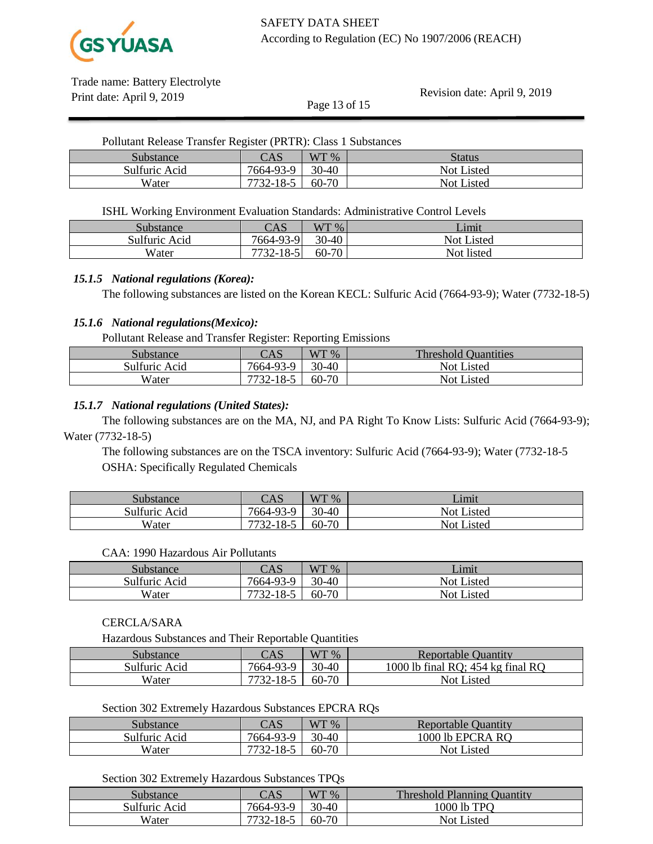

Revision date: April 9, 2019

| Pollutant Release Transfer Register (PRTR): Class 1 Substances |           |         |               |  |  |
|----------------------------------------------------------------|-----------|---------|---------------|--|--|
| Substance                                                      | CAS       | $WT\%$  | <b>Status</b> |  |  |
| Sulfuric Acid                                                  | 7664-93-9 | 30-40   | Not Listed    |  |  |
| Water                                                          | 7732-18-5 | $60-70$ | Not Listed    |  |  |

Page 13 of 15

ISHL Working Environment Evaluation Standards: Administrative Control Levels

| Substance     | CAS                   | WT %    | ′_imit     |
|---------------|-----------------------|---------|------------|
| Sulfuric Acid | 7664-93-9             | $30-40$ | Not Listed |
| Water         | $-18-5$<br>$7732 - 1$ | 60-70   | Not listed |

#### *15.1.5 National regulations (Korea):*

The following substances are listed on the Korean KECL: Sulfuric Acid (7664-93-9); Water (7732-18-5)

### *15.1.6 National regulations(Mexico):*

Pollutant Release and Transfer Register: Reporting Emissions

| $\mathcal{S}$ ubstance | CAS                    | $WT\%$ | <b>Threshold Quantities</b> |
|------------------------|------------------------|--------|-----------------------------|
| Sulfuric Acid          | 7664-93-9              | 30-40  | <b>Not Listed</b>           |
| Water                  | 7730<br>$18-$<br>7 / - | 60-70  | <b>Not Listed</b>           |

#### *15.1.7 National regulations (United States):*

The following substances are on the MA, NJ, and PA Right To Know Lists: Sulfuric Acid (7664-93-9); Water (7732-18-5)

The following substances are on the TSCA inventory: Sulfuric Acid (7664-93-9); Water (7732-18-5 OSHA: Specifically Regulated Chemicals

| Substance     | CAS                   | WT %  | Limit                         |
|---------------|-----------------------|-------|-------------------------------|
| Sulfuric Acid | 7664-93-9             | 30-40 | <b>Not Listed</b>             |
| Water         | 18-5<br>7722<br>$22-$ | 60-70 | Listed<br>$\sim$ Not L $\sim$ |

#### CAA: 1990 Hazardous Air Pollutants

| Substance     | CAS                         | WT %  | Limit           |
|---------------|-----------------------------|-------|-----------------|
| Sulfuric Acid | 7664-93-9                   | 30-40 | Not I<br>Listed |
| Water         | 1 O<br>7722<br>.o-J<br>.JZ- | 60-70 | Not Listed      |

## CERCLA/SARA

Hazardous Substances and Their Reportable Quantities

| Substance     | CAS       | $WT\%$  | Reportable Quantity                 |
|---------------|-----------|---------|-------------------------------------|
| Sulfuric Acid | 7664-93-9 | $30-40$ | 1000 lb final RO; $454$ kg final RO |
| Water         | 7732-18-5 | $60-70$ | Not Listed                          |

#### Section 302 Extremely Hazardous Substances EPCRA RQs

| Substance     | CAS       | WT %    | Reportable Quantity |
|---------------|-----------|---------|---------------------|
| Sulfuric Acid | 7664-93-9 | $30-40$ | 1000 lb EPCRA RO    |
| Water         | 7732-18-5 | 60-70   | Not Listed          |

#### Section 302 Extremely Hazardous Substances TPQs

| substance     | CAS                     | WT %    | <b>Threshold Planning Quantity</b> |
|---------------|-------------------------|---------|------------------------------------|
| Sulfuric Acid | 7664-93-9               | $30-40$ | 1000 lb TPO                        |
| Water         | $18-$<br>7730.<br>7 / - | 60-70   | <b>Not Listed</b>                  |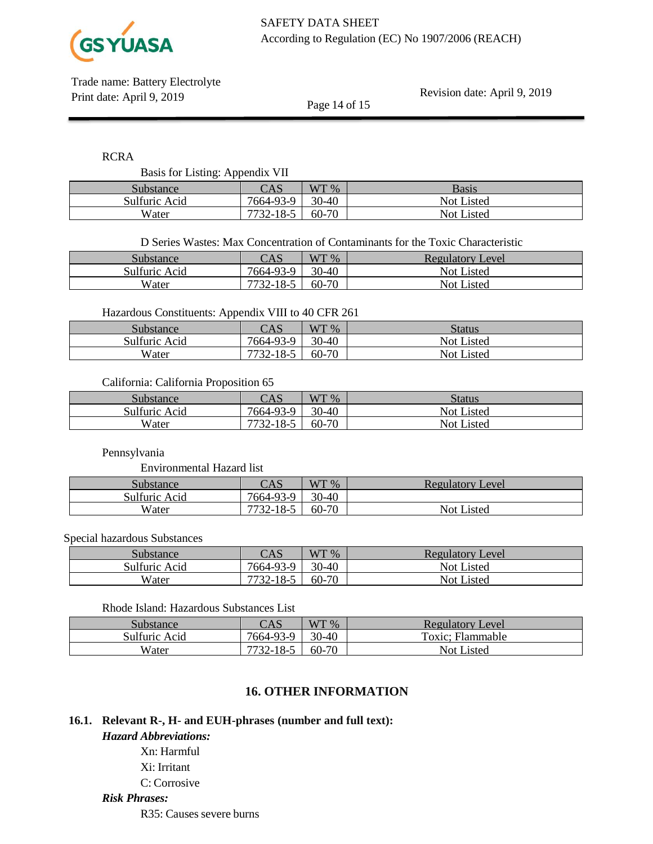

Revision date: April 9, 2019

RCRA

Basis for Listing: Appendix VII

| ້<br>. .      |                                                 |       |            |
|---------------|-------------------------------------------------|-------|------------|
| Substance     | $\cap$ $\Delta$ $\heartsuit$<br>$\cup \Gamma$ N | WT %  | Basis      |
| Sulfuric Acid | 7664-93-9                                       | 30-40 | Not Listed |
| Water         | 7722<br>$32 - 18 - 5$                           | 60-70 | Not Listed |

Page 14 of 15

D Series Wastes: Max Concentration of Contaminants for the Toxic Characteristic

| $\mathcal{S}$ ubstance | CAS                    | WT 96 | Level<br><b>Regulatory</b> |
|------------------------|------------------------|-------|----------------------------|
| Sulfuric Acid          | 7664-93-9              | 30-40 | <b>Not Listed</b>          |
| Water                  | 1 O<br>$10 - 1$<br>┑╭╺ | 60-70 | Not Listed                 |

Hazardous Constituents: Appendix VIII to 40 CFR 261

| Substance     | CAS             | WT %  | <b>Status</b>     |
|---------------|-----------------|-------|-------------------|
| Sulfuric Acid | 7664-93-9       | 30-40 | <b>Not Listed</b> |
| Water         | $7732 - 18 - 3$ | 60-70 | <b>Not Listed</b> |

California: California Proposition 65

| Substance     | CAS       | WT %      | Status            |
|---------------|-----------|-----------|-------------------|
| Sulfuric Acid | 7664-93-9 | $30 - 40$ | <b>Not Listed</b> |
| Water         | 7732-18-5 | 60-70     | <b>Not Listed</b> |

Pennsylvania

Environmental Hazard list

| Substance     | CAS                  | WT %  | Regulatory<br>Level |
|---------------|----------------------|-------|---------------------|
| Sulfuric Acid | 7664-93-9            | 30-40 |                     |
| Water         | $-18-5$<br>77<br>32- | 60-70 | Not I<br>Listed     |

### Special hazardous Substances

| Substance     | CAS       | WT %  | Regulatory Level  |
|---------------|-----------|-------|-------------------|
| Sulfuric Acid | 7664-93-9 | 30-40 | <b>Not Listed</b> |
| Water         | $18-$     | 60-70 | Not Listed        |

#### Rhode Island: Hazardous Substances List

| Substance     | CAS       | WT %    | Regulatory Level  |
|---------------|-----------|---------|-------------------|
| Sulfuric Acid | 7664-93-9 | $30-40$ | Toxic; Flammable  |
| Water         | 7732-18-5 | 60-70   | <b>Not Listed</b> |

# **16. OTHER INFORMATION**

## **16.1. Relevant R-, H- and EUH-phrases (number and full text):**

*Hazard Abbreviations:* Xn: Harmful Xi: Irritant C: Corrosive

*Risk Phrases:*

R35: Causes severe burns